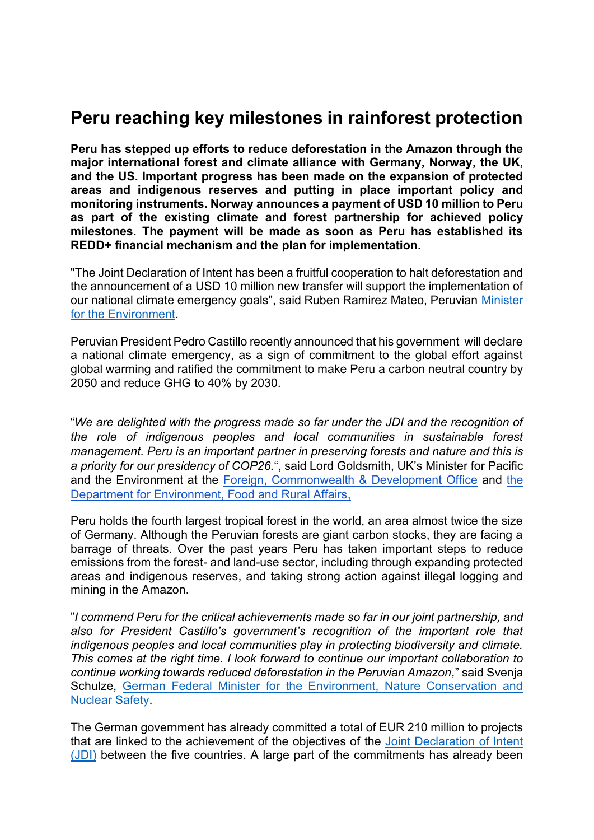## **Peru reaching key milestones in rainforest protection**

**Peru has stepped up efforts to reduce deforestation in the Amazon through the major international forest and climate alliance with Germany, Norway, the UK, and the US. Important progress has been made on the expansion of protected areas and indigenous reserves and putting in place important policy and monitoring instruments. Norway announces a payment of USD 10 million to Peru as part of the existing climate and forest partnership for achieved policy milestones. The payment will be made as soon as Peru has established its REDD+ financial mechanism and the plan for implementation.**

"The Joint Declaration of Intent has been a fruitful cooperation to halt deforestation and the announcement of a USD 10 million new transfer will support the implementation of our national climate emergency goals", said Ruben Ramirez Mateo, Peruvian [Minister](https://www.gob.pe/minam)  [for the Environment.](https://www.gob.pe/minam)

Peruvian President Pedro Castillo recently announced that his government will declare a national climate emergency, as a sign of commitment to the global effort against global warming and ratified the commitment to make Peru a carbon neutral country by 2050 and reduce GHG to 40% by 2030.

"*We are delighted with the progress made so far under the JDI and the recognition of the role of indigenous peoples and local communities in sustainable forest management. Peru is an important partner in preserving forests and nature and this is a priority for our presidency of COP26.*", said Lord Goldsmith, UK's Minister for Pacific and the Environment at the [Foreign, Commonwealth & Development Office](https://www.gov.uk/government/organisations/foreign-commonwealth-development-office) and [the](https://www.gov.uk/government/organisations/department-for-environment-food-rural-affairs)  [Department for Environment, Food and Rural Affairs,](https://www.gov.uk/government/organisations/department-for-environment-food-rural-affairs)

Peru holds the fourth largest tropical forest in the world, an area almost twice the size of Germany. Although the Peruvian forests are giant carbon stocks, they are facing a barrage of threats. Over the past years Peru has taken important steps to reduce emissions from the forest- and land-use sector, including through expanding protected areas and indigenous reserves, and taking strong action against illegal logging and mining in the Amazon.

"*I commend Peru for the critical achievements made so far in our joint partnership, and also for President Castillo's government's recognition of the important role that indigenous peoples and local communities play in protecting biodiversity and climate. This comes at the right time. I look forward to continue our important collaboration to continue working towards reduced deforestation in the Peruvian Amazon,*" said Svenja Schulze, [German Federal Minister for the Environment, Nature Conservation and](https://www.bmu.de/en/)  [Nuclear Safety.](https://www.bmu.de/en/)

The German government has already committed a total of EUR 210 million to projects that are linked to the achievement of the objectives of the Joint Declaration of Intent [\(JDI\)](https://files.nettsteder.regjeringen.no/wpuploads01/sites/245/2021/06/Joint-Decleration-of-Intent-Peru-2021.pdf) between the five countries. A large part of the commitments has already been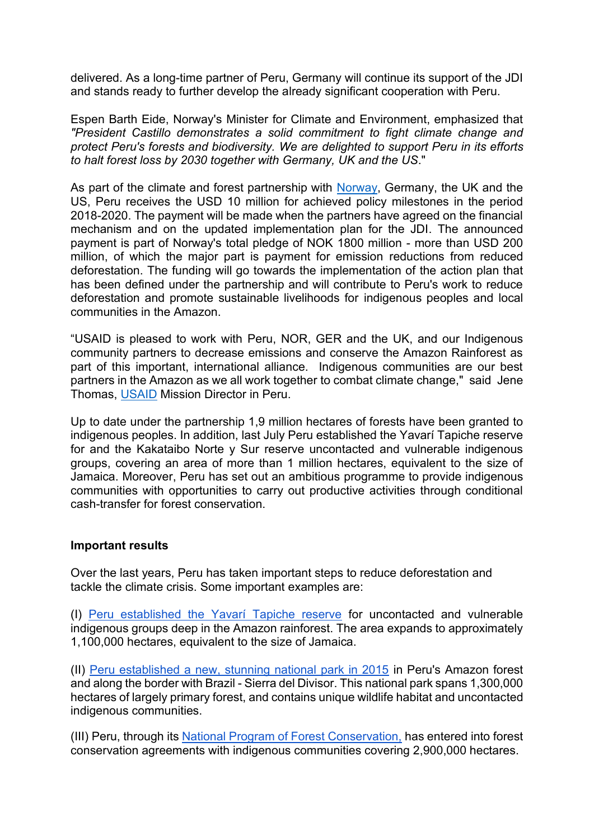delivered. As a long-time partner of Peru, Germany will continue its support of the JDI and stands ready to further develop the already significant cooperation with Peru.

Espen Barth Eide, Norway's Minister for Climate and Environment, emphasized that *"President Castillo demonstrates a solid commitment to fight climate change and protect Peru's forests and biodiversity. We are delighted to support Peru in its efforts to halt forest loss by 2030 together with Germany, UK and the US*."

As part of the climate and forest partnership with [Norway,](http://www.nicfi.no/) Germany, the UK and the US, Peru receives the USD 10 million for achieved policy milestones in the period 2018-2020. The payment will be made when the partners have agreed on the financial mechanism and on the updated implementation plan for the JDI. The announced payment is part of [Norway's](http://www.nicfi.no/) total pledge of NOK 1800 million - more than USD 200 million, of which the major part is payment for emission reductions from reduced deforestation. The funding will go towards the implementation of the action plan that has been defined under the partnership and will contribute to Peru's work to reduce deforestation and promote sustainable livelihoods for indigenous peoples and local communities in the Amazon.

"USAID is pleased to work with Peru, NOR, GER and the UK, and our Indigenous community partners to decrease emissions and conserve the Amazon Rainforest as part of this important, international alliance. Indigenous communities are our best partners in the Amazon as we all work together to combat climate change," said Jene Thomas, [USAID](http://www.usaid.gov/) Mission Director in Peru.

Up to date under the partnership 1,9 million hectares of forests have been granted to indigenous peoples. In addition, last July [Peru established the Yavarí Tapiche reserve](https://news.mongabay.com/2021/04/peru-to-establish-rainforest-reserve-for-isolated-indigenous-peoples/) for and the Kakataibo Norte y Sur reserve uncontacted and vulnerable indigenous groups, covering an area of more than 1 million hectares, equivalent to the size of Jamaica. Moreover, Peru has set out an ambitious programme to provide indigenous communities with opportunities to carry out productive activities through conditional cash-transfer for forest conservation.

## **Important results**

Over the last years, Peru has taken important steps to reduce deforestation and tackle the climate crisis. Some important examples are:

(I) [Peru established the Yavarí Tapiche reserve](https://news.mongabay.com/2021/04/peru-to-establish-rainforest-reserve-for-isolated-indigenous-peoples/) for uncontacted and vulnerable indigenous groups deep in the Amazon rainforest. The area expands to approximately 1,100,000 hectares, equivalent to the size of Jamaica.

(II) [Peru established a new, stunning national park in 2015](https://news.mongabay.com/2015/11/a-critical-gift-peru-rejoices-as-a-new-national-park-is-born/) in Peru's Amazon forest and along the border with Brazil - Sierra del Divisor. This national park spans 1,300,000 hectares of largely primary forest, and contains unique wildlife habitat and uncontacted indigenous communities.

(III) Peru, through its [National Program of Forest Conservation,](http://www.bosques.gob.pe/) has entered into forest conservation agreements with indigenous communities covering 2,900,000 hectares.